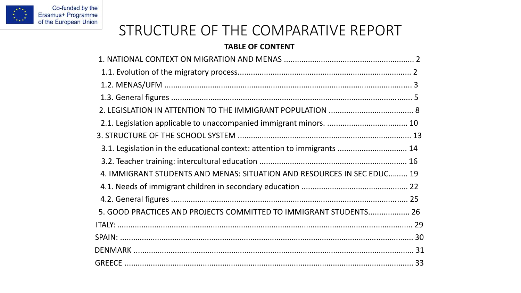

## STRUCTURE OF THE COMPARATIVE REPORT

## **TABLE OF CONTENT**

| 3.1. Legislation in the educational context: attention to immigrants  14 |  |
|--------------------------------------------------------------------------|--|
|                                                                          |  |
| 4. IMMIGRANT STUDENTS AND MENAS: SITUATION AND RESOURCES IN SEC EDUC 19  |  |
|                                                                          |  |
|                                                                          |  |
| 5. GOOD PRACTICES AND PROJECTS COMMITTED TO IMMIGRANT STUDENTS 26        |  |
|                                                                          |  |
|                                                                          |  |
|                                                                          |  |
|                                                                          |  |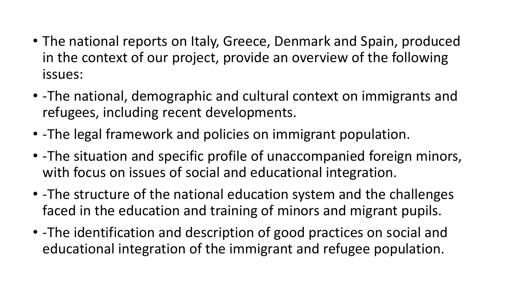- The national reports on Italy, Greece, Denmark and Spain, produced in the context of our project, provide an overview of the following issues:
- -The national, demographic and cultural context on immigrants and refugees, including recent developments.
- -The legal framework and policies on immigrant population.
- -The situation and specific profile of unaccompanied foreign minors, with focus on issues of social and educational integration.
- -The structure of the national education system and the challenges faced in the education and training of minors and migrant pupils.
- -The identification and description of good practices on social and educational integration of the immigrant and refugee population.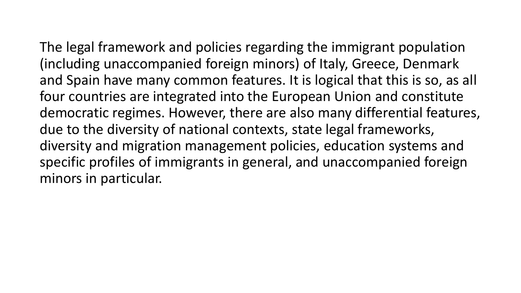The legal framework and policies regarding the immigrant population (including unaccompanied foreign minors) of Italy, Greece, Denmark and Spain have many common features. It is logical that this is so, as all

four countries are integrated into the European Union and constitute democratic regimes. However, there are also many differential features, due to the diversity of national contexts, state legal frameworks, diversity and migration management policies, education systems and specific profiles of immigrants in general, and unaccompanied foreign minors in particular.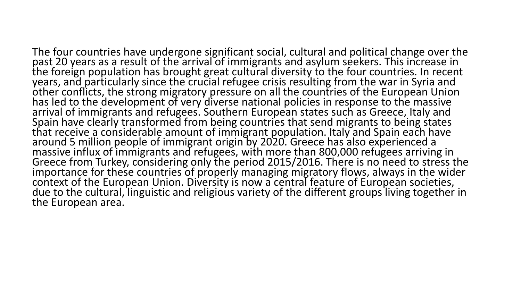The four countries have undergone significant social, cultural and political change over the past 20 years as a result of the arrival of immigrants and asylum seekers. This increase in the foreign population has brought great cultural diversity to the four countries. In recent years, and particularly since the crucial refugee crisis resulting from the war in Syria and other conflicts, the strong migratory pressure on all the countries of the European Union has led to the development of very diverse national policies in response to the massive arrival of immigrants and refugees. Southern European states such as Greece, Italy and Spain have clearly transformed from being countries that send migrants to being states that receive a considerable amount of immigrant population. Italy and Spain each have around 5 million people of immigrant origin by 2020. Greece has also experienced a massive influx of immigrants and refugees, with more than 800,000 refugees arriving in Greece from Turkey, considering only the period 2015/2016. There is no need to stress the importance for these countries of properly managing migratory flows, always in the wider context of the European Union. Diversity is now a central feature of European societies, due to the cultural, linguistic and religious variety of the different groups living together in the European area.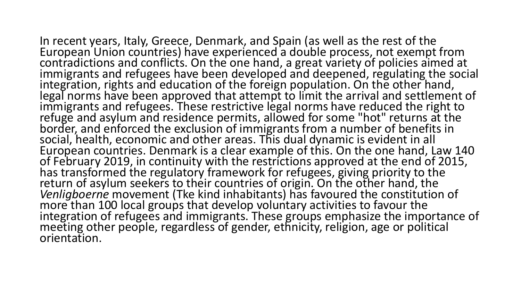In recent years, Italy, Greece, Denmark, and Spain (as well as the rest of the European Union countries) have experienced a double process, not exempt from contradictions and conflicts. On the one hand, a great variety of policies aimed at immigrants and refugees have been developed and deepened, regulating the social integration, rights and education of the foreign population. On the other hand, legal norms have been approved that attempt to limit the arrival and settlement of immigrants and refugees. These restrictive legal norms have reduced the right to refuge and asylum and residence permits, allowed for some "hot" returns at the border, and enforced the exclusion of immigrants from a number of benefits in social, health, economic and other areas. This dual dynamic is evident in all European countries. Denmark is a clear example of this. On the one hand, Law 140 of February 2019, in continuity with the restrictions approved at the end of 2015, has transformed the regulatory framework for refugees, giving priority to the return of asylum seekers to their countries of origin. On the other hand, the *Venligboerne* movement (Tke kind inhabitants) has favoured the constitution of more than 100 local groups that develop voluntary activities to favour the integration of refugees and immigrants. These groups emphasize the importance of meeting other people, regardless of gender, ethnicity, religion, age or political orientation.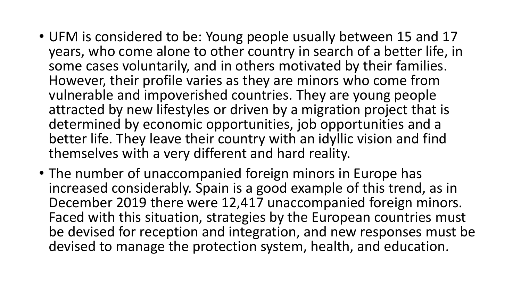- UFM is considered to be: Young people usually between 15 and 17 years, who come alone to other country in search of a better life, in some cases voluntarily, and in others motivated by their families. However, their profile varies as they are minors who come from vulnerable and impoverished countries. They are young people attracted by new lifestyles or driven by a migration project that is determined by economic opportunities, job opportunities and a better life. They leave their country with an idyllic vision and find themselves with a very different and hard reality.
- The number of unaccompanied foreign minors in Europe has increased considerably. Spain is a good example of this trend, as in December 2019 there were 12,417 unaccompanied foreign minors. Faced with this situation, strategies by the European countries must be devised for reception and integration, and new responses must be devised to manage the protection system, health, and education.